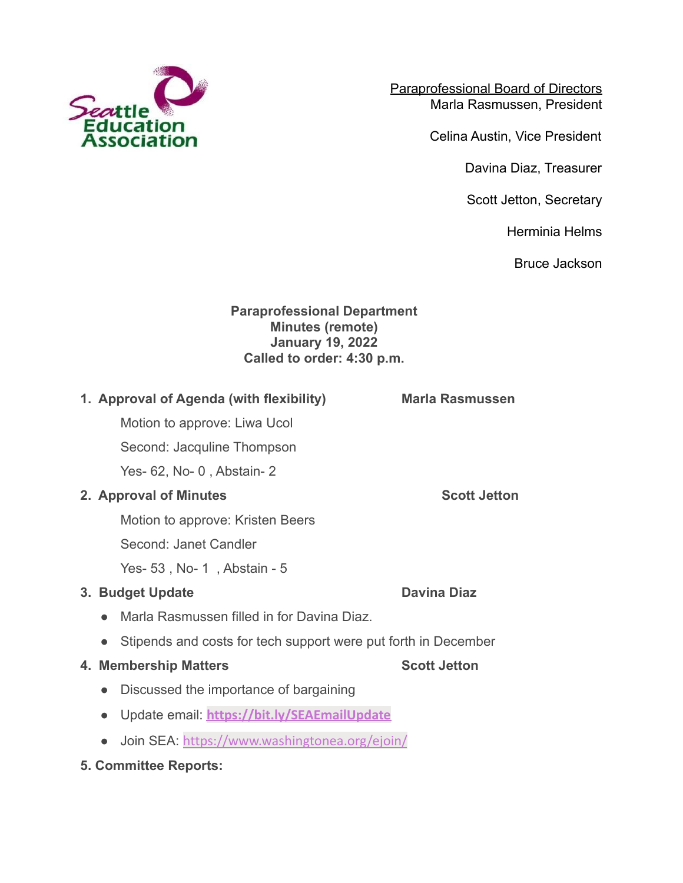

Paraprofessional Board of Directors Marla Rasmussen, President

Celina Austin, Vice President

Davina Diaz, Treasurer

Scott Jetton, Secretary

Herminia Helms

Bruce Jackson

## **Paraprofessional Department Minutes (remote) January 19, 2022 Called to order: 4:30 p.m.**

# **1. Approval of Agenda (with flexibility) Marla Rasmussen**

Motion to approve: Liwa Ucol

Second: Jacquline Thompson

Yes- 62, No- 0 , Abstain- 2

# **2. Approval of Minutes Scott Jetton**

Motion to approve: Kristen Beers

Second: Janet Candler

Yes- 53 , No- 1 , Abstain - 5

# **3. Budget Update Davina Diaz**

- Marla Rasmussen filled in for Davina Diaz.
- Stipends and costs for tech support were put forth in December

## **4. Membership Matters Scott Jetton**

- Discussed the importance of bargaining
- Update email: **[https://bit.ly/SEAEmailUpdate](https://nam11.safelinks.protection.outlook.com/?url=https%3A%2F%2Fr20.rs6.net%2Ftn.jsp%3Ff%3D001SsBdJrIq0rsMsIQ4zfc3IbHWeIufHy-4acUTkWspRlvG7yx0vpgfqLLUCcRFDvcgeD_kPAjfFpQWEpqjBWdn3Zf_91avHHh5W8YTKDxn_HMnmbUZmc7nOrVoGsNeWZmtoJV-zRmZXQG1462BEDtSGw%3D%3D%26c%3Dlmn7x1GMFUCvWU2Tn6qyJve6fiA9_WDVa-vJ8DFS88ew8TWmDBg1zw%3D%3D%26ch%3DV0Rqr63qRPTbxVZp9TPZkUptEB1YWyI70p-FO69M7cZlFDU16gC3pw%3D%3D&data=04%7C01%7Cscott.jetton%40washingtonea.org%7Cf0d7b39f730d40fb287508d9d5e8a6de%7Cc51bd6ee3b224c0ba0fdfc3c3d347ca7%7C0%7C0%7C637776017490704817%7CUnknown%7CTWFpbGZsb3d8eyJWIjoiMC4wLjAwMDAiLCJQIjoiV2luMzIiLCJBTiI6Ik1haWwiLCJXVCI6Mn0%3D%7C3000&sdata=WESj9Tb7rdJO4%2FS7i6Rwr974KYgIuWHx8Zs8JpcA%2B7Y%3D&reserved=0)**
- Join SEA: <https://www.washingtonea.org/ejoin/>
- **5. Committee Reports:**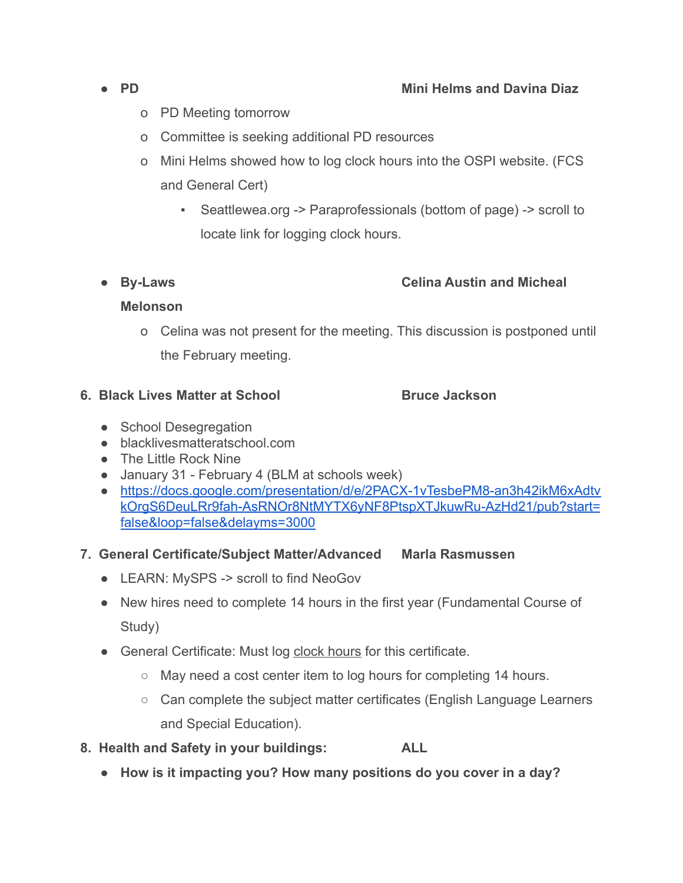- o PD Meeting tomorrow
- o Committee is seeking additional PD resources
- o Mini Helms showed how to log clock hours into the OSPI website. (FCS and General Cert)
	- Seattlewea.org -> Paraprofessionals (bottom of page) -> scroll to locate link for logging clock hours.

## **● By-Laws Celina Austin and Micheal**

### **Melonson**

o Celina was not present for the meeting. This discussion is postponed until the February meeting.

### **6. Black Lives Matter at School <b>Bruce Jackson**

- **●** School Desegregation
- blacklivesmatteratschool.com
- The Little Rock Nine
- January 31 February 4 (BLM at schools week)
- [https://docs.google.com/presentation/d/e/2PACX-1vTesbePM8-an3h42ikM6xAdtv](https://docs.google.com/presentation/d/e/2PACX-1vTesbePM8-an3h42ikM6xAdtvkOrgS6DeuLRr9fah-AsRNOr8NtMYTX6yNF8PtspXTJkuwRu-AzHd21/pub?start=false&loop=false&delayms=3000) [kOrgS6DeuLRr9fah-AsRNOr8NtMYTX6yNF8PtspXTJkuwRu-AzHd21/pub?start=](https://docs.google.com/presentation/d/e/2PACX-1vTesbePM8-an3h42ikM6xAdtvkOrgS6DeuLRr9fah-AsRNOr8NtMYTX6yNF8PtspXTJkuwRu-AzHd21/pub?start=false&loop=false&delayms=3000) [false&loop=false&delayms=3000](https://docs.google.com/presentation/d/e/2PACX-1vTesbePM8-an3h42ikM6xAdtvkOrgS6DeuLRr9fah-AsRNOr8NtMYTX6yNF8PtspXTJkuwRu-AzHd21/pub?start=false&loop=false&delayms=3000)
- **7. General Certificate/Subject Matter/Advanced Marla Rasmussen**
	- LEARN: MySPS -> scroll to find NeoGov
	- New hires need to complete 14 hours in the first year (Fundamental Course of Study)
	- General Certificate: Must log clock hours for this certificate.
		- May need a cost center item to log hours for completing 14 hours.
		- Can complete the subject matter certificates (English Language Learners and Special Education).
- **8. Health and Safety in your buildings: ALL**
	- **● How is it impacting you? How many positions do you cover in a day?**